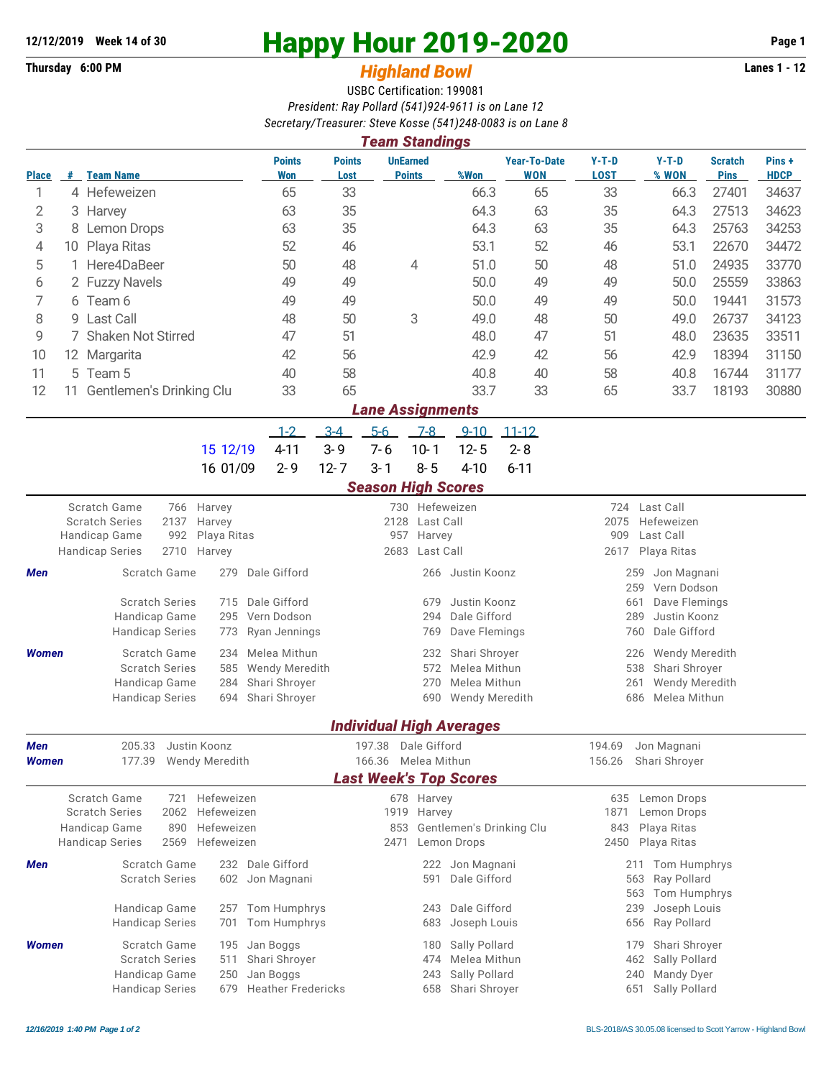## **Thursday 6:00 PM** *Highland Bowl* **Lanes 1 - 12**

## **12/12/2019 Week 14 of 30 Happy Hour 2019-2020 Page 1**

## USBC Certification: 199081 *President: Ray Pollard (541)924-9611 is on Lane 12 Secretary/Treasurer: Steve Kosse (541)248-0083 is on Lane 8*

| <b>Team Standings</b>   |                      |                                                       |                       |                                                |                                             |                     |                                  |                                 |                                            |                                                               |                      |                               |                      |  |  |  |
|-------------------------|----------------------|-------------------------------------------------------|-----------------------|------------------------------------------------|---------------------------------------------|---------------------|----------------------------------|---------------------------------|--------------------------------------------|---------------------------------------------------------------|----------------------|-------------------------------|----------------------|--|--|--|
| <b>Place</b>            |                      | # Team Name                                           |                       | <b>Points</b><br><b>Won</b>                    | <b>Points</b><br>Lost                       |                     | <b>UnEarned</b><br><b>Points</b> | %Won                            | <b>Year-To-Date</b><br><b>WON</b>          | $Y-T-D$<br><b>LOST</b>                                        | $Y-T-D$<br>% WON     | <b>Scratch</b><br><b>Pins</b> | Pins+<br><b>HDCP</b> |  |  |  |
| 1                       |                      | 4 Hefeweizen                                          |                       | 65                                             | 33                                          |                     |                                  | 66.3                            | 65                                         | 33                                                            | 66.3                 | 27401                         | 34637                |  |  |  |
| 2                       |                      | 3 Harvey                                              |                       | 63                                             | 35                                          |                     |                                  | 64.3                            | 63                                         | 35                                                            | 64.3                 | 27513                         | 34623                |  |  |  |
| 3                       | 8                    | <b>Lemon Drops</b>                                    |                       | 63                                             | 35                                          |                     |                                  | 64.3                            | 63                                         | 35                                                            | 64.3                 | 25763                         | 34253                |  |  |  |
| 4                       | 10                   | Playa Ritas                                           |                       | 52                                             | 46                                          |                     |                                  | 53.1                            | 52                                         | 46                                                            | 53.1                 | 22670                         | 34472                |  |  |  |
| 5                       | 1 Here4DaBeer        |                                                       | 50                    | 48                                             |                                             | 4                   | 51.0                             | 50                              | 48                                         | 51.0                                                          | 24935                | 33770                         |                      |  |  |  |
| 6                       |                      | 2 Fuzzy Navels                                        |                       | 49                                             | 49                                          |                     |                                  | 50.0                            | 49                                         | 49                                                            | 50.0                 | 25559                         | 33863                |  |  |  |
| 7                       |                      | 6 Team 6                                              |                       | 49                                             | 49                                          |                     |                                  | 50.0                            | 49                                         | 49                                                            | 50.0                 | 19441                         | 31573                |  |  |  |
| 8                       |                      | 9 Last Call                                           |                       | 48                                             | 50                                          |                     | 3                                | 49.0                            | 48                                         | 50                                                            | 49.0                 | 26737                         | 34123                |  |  |  |
| 9                       | 7 Shaken Not Stirred |                                                       |                       |                                                | 51                                          |                     |                                  | 48.0                            | 47                                         | 51                                                            | 48.0                 | 23635                         | 33511                |  |  |  |
| 10                      |                      | 12 Margarita                                          |                       | 42                                             | 56                                          |                     |                                  | 42.9                            | 42                                         | 56                                                            | 42.9                 | 18394                         | 31150                |  |  |  |
| 11                      |                      | 5 Team 5                                              |                       | 40                                             | 58                                          |                     |                                  | 40.8                            | 40                                         | 58                                                            | 40.8                 | 16744                         | 31177                |  |  |  |
| 12                      |                      | 11 Gentlemen's Drinking Clu                           |                       | 33                                             | 65                                          |                     |                                  | 33.7                            | 33                                         | 65                                                            | 33.7                 | 18193                         | 30880                |  |  |  |
| <b>Lane Assignments</b> |                      |                                                       |                       |                                                |                                             |                     |                                  |                                 |                                            |                                                               |                      |                               |                      |  |  |  |
|                         |                      |                                                       |                       | $1 - 2$                                        | $3 - 4$                                     | $5-6$               | $7-8$                            | $9 - 10$                        | $11 - 12$                                  |                                                               |                      |                               |                      |  |  |  |
|                         |                      |                                                       | 15 12/19              | $4 - 11$                                       | $3 - 9$                                     | $7 - 6$             | $10 - 1$                         | $12 - 5$                        | $2 - 8$                                    |                                                               |                      |                               |                      |  |  |  |
|                         |                      |                                                       | 16 01/09              | $2 - 9$                                        | $12 - 7$                                    | $3 - 1$             | $8 - 5$                          | $4 - 10$                        | $6 - 11$                                   |                                                               |                      |                               |                      |  |  |  |
|                         |                      |                                                       |                       |                                                |                                             |                     | <b>Season High Scores</b>        |                                 |                                            |                                                               |                      |                               |                      |  |  |  |
|                         |                      | Scratch Game<br>766                                   | Harvey<br>Harvey      |                                                |                                             |                     | 730 Hefeweizen                   |                                 |                                            | Last Call<br>724                                              |                      |                               |                      |  |  |  |
|                         |                      | <b>Scratch Series</b><br>2137<br>992<br>Handicap Game |                       |                                                | 2128<br>Last Call<br>957<br>Harvey          |                     |                                  |                                 |                                            | 2075<br>Hefeweizen<br>909<br>Last Call<br>Playa Ritas<br>2617 |                      |                               |                      |  |  |  |
|                         |                      | 2710<br><b>Handicap Series</b>                        | Playa Ritas<br>Harvey |                                                | 2683<br>Last Call                           |                     |                                  |                                 |                                            |                                                               |                      |                               |                      |  |  |  |
| Men                     |                      | Scratch Game                                          | 279                   | Dale Gifford                                   |                                             |                     | 266                              | Justin Koonz                    | Jon Magnani<br>259                         |                                                               |                      |                               |                      |  |  |  |
|                         |                      |                                                       |                       |                                                |                                             |                     |                                  |                                 |                                            |                                                               | Vern Dodson<br>259   |                               |                      |  |  |  |
|                         |                      | <b>Scratch Series</b>                                 | 715<br>295            | Dale Gifford                                   |                                             | Justin Koonz<br>679 |                                  |                                 |                                            |                                                               | 661<br>Dave Flemings |                               |                      |  |  |  |
|                         |                      | Handicap Game<br><b>Handicap Series</b>               | Vern Dodson           |                                                | 294<br>Dale Gifford<br>Dave Flemings<br>769 |                     |                                  |                                 | Justin Koonz<br>289<br>Dale Gifford<br>760 |                                                               |                      |                               |                      |  |  |  |
|                         |                      |                                                       | 773                   | Ryan Jennings                                  |                                             |                     |                                  |                                 |                                            |                                                               |                      |                               |                      |  |  |  |
| <b>Women</b>            |                      | Scratch Game<br><b>Scratch Series</b>                 | 234<br>585            | Melea Mithun<br><b>Wendy Meredith</b>          |                                             |                     | 232<br>572                       | Shari Shroyer<br>Melea Mithun   |                                            | <b>Wendy Meredith</b><br>226<br>538<br>Shari Shroyer          |                      |                               |                      |  |  |  |
|                         |                      | Handicap Game                                         | 284                   | Shari Shroyer                                  |                                             |                     | 270                              | Melea Mithun                    |                                            | 261<br>Wendy Meredith                                         |                      |                               |                      |  |  |  |
|                         |                      | <b>Handicap Series</b>                                | 694                   | Shari Shroyer                                  |                                             |                     | 690                              | Wendy Meredith                  |                                            |                                                               | Melea Mithun<br>686  |                               |                      |  |  |  |
|                         |                      |                                                       |                       |                                                |                                             |                     |                                  | <b>Individual High Averages</b> |                                            |                                                               |                      |                               |                      |  |  |  |
| Men                     |                      | 205.33                                                | Justin Koonz          |                                                |                                             | 197.38              | Dale Gifford                     |                                 |                                            | 194.69                                                        | Jon Magnani          |                               |                      |  |  |  |
| <b>Women</b>            |                      | 177.39                                                | <b>Wendy Meredith</b> |                                                | 166.36 Melea Mithun                         |                     |                                  |                                 |                                            | 156.26<br>Shari Shroyer                                       |                      |                               |                      |  |  |  |
|                         |                      |                                                       |                       |                                                |                                             |                     |                                  | <b>Last Week's Top Scores</b>   |                                            |                                                               |                      |                               |                      |  |  |  |
|                         |                      | Scratch Game<br>721                                   | Hefeweizen            |                                                |                                             |                     | 678 Harvey                       |                                 |                                            |                                                               | 635 Lemon Drops      |                               |                      |  |  |  |
|                         |                      | <b>Scratch Series</b><br>2062                         | Hefeweizen            |                                                | 1919 Harvey                                 |                     |                                  |                                 | 1871<br>Lemon Drops                        |                                                               |                      |                               |                      |  |  |  |
|                         |                      | Handicap Game<br>890                                  | Hefeweizen            | 853<br>Gentlemen's Drinking Clu<br>Lemon Drops |                                             |                     |                                  |                                 | Playa Ritas<br>843<br>2450 Playa Ritas     |                                                               |                      |                               |                      |  |  |  |
|                         |                      | <b>Handicap Series</b><br>2569                        | Hefeweizen            |                                                |                                             | 2471                |                                  |                                 |                                            |                                                               |                      |                               |                      |  |  |  |
| Men                     |                      | Scratch Game                                          |                       | 232 Dale Gifford                               |                                             |                     | 222                              | Jon Magnani                     |                                            |                                                               | 211 Tom Humphrys     |                               |                      |  |  |  |
|                         |                      | <b>Scratch Series</b>                                 | 602 Jon Magnani       |                                                |                                             | Dale Gifford<br>591 |                                  |                                 | Ray Pollard<br>563<br>563<br>Tom Humphrys  |                                                               |                      |                               |                      |  |  |  |
|                         |                      | Handicap Game                                         |                       | 257 Tom Humphrys                               |                                             |                     | 243                              | Dale Gifford                    |                                            |                                                               | Joseph Louis<br>239  |                               |                      |  |  |  |
|                         |                      | <b>Handicap Series</b>                                | 701 Tom Humphrys      |                                                |                                             | 683                 | Joseph Louis                     |                                 |                                            | Ray Pollard<br>656                                            |                      |                               |                      |  |  |  |
| <b>Women</b>            |                      | Scratch Game                                          | 195                   | Jan Boggs                                      |                                             |                     | 180                              | Sally Pollard                   |                                            |                                                               | 179 Shari Shroyer    |                               |                      |  |  |  |
|                         |                      | <b>Scratch Series</b>                                 | Shari Shroyer         | 474 Melea Mithun                               |                                             |                     |                                  |                                 |                                            | 462 Sally Pollard                                             |                      |                               |                      |  |  |  |

Handicap Game 250 Jan Boggs 243 Sally Pollard 240 Mandy Dyer Handicap Series 679 Heather Fredericks 658 Shari Shroyer 651 Sally Pollard